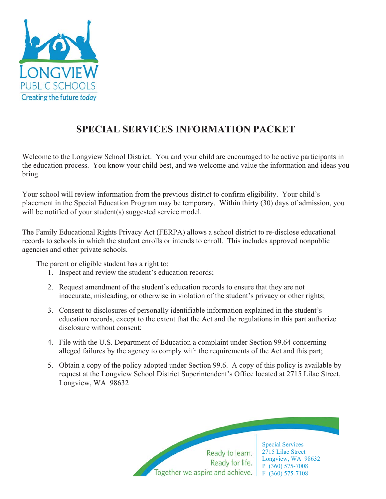

# **SPECIAL SERVICES INFORMATION PACKET**

Welcome to the Longview School District. You and your child are encouraged to be active participants in the education process. You know your child best, and we welcome and value the information and ideas you bring.

Your school will review information from the previous district to confirm eligibility. Your child's placement in the Special Education Program may be temporary. Within thirty (30) days of admission, you will be notified of your student(s) suggested service model.

The Family Educational Rights Privacy Act (FERPA) allows a school district to re-disclose educational records to schools in which the student enrolls or intends to enroll. This includes approved nonpublic agencies and other private schools.

The parent or eligible student has a right to:

- 1. Inspect and review the student's education records;
- 2. Request amendment of the student's education records to ensure that they are not inaccurate, misleading, or otherwise in violation of the student's privacy or other rights;
- 3. Consent to disclosures of personally identifiable information explained in the student's education records, except to the extent that the Act and the regulations in this part authorize disclosure without consent;
- 4. File with the U.S. Department of Education a complaint under Section 99.64 concerning alleged failures by the agency to comply with the requirements of the Act and this part;
- 5. Obtain a copy of the policy adopted under Section 99.6. A copy of this policy is available by request at the Longview School District Superintendent's Office located at 2715 Lilac Street, Longview, WA 98632

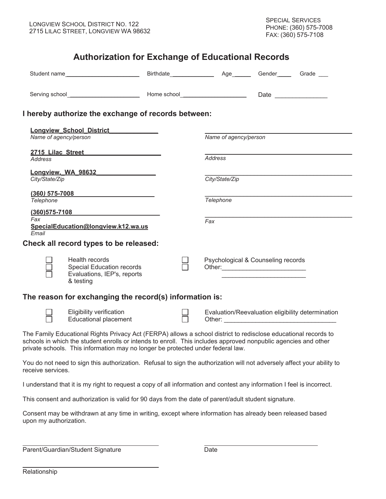### **Authorization for Exchange of Educational Records**

|                                                        | Student name                                                                                                                                                                                                                                                                                                         |  |     |                       |                                    |                                                   |
|--------------------------------------------------------|----------------------------------------------------------------------------------------------------------------------------------------------------------------------------------------------------------------------------------------------------------------------------------------------------------------------|--|-----|-----------------------|------------------------------------|---------------------------------------------------|
|                                                        |                                                                                                                                                                                                                                                                                                                      |  |     |                       |                                    |                                                   |
|                                                        | I hereby authorize the exchange of records between:                                                                                                                                                                                                                                                                  |  |     |                       |                                    |                                                   |
| Lonqview School_District<br>Name of agency/person      |                                                                                                                                                                                                                                                                                                                      |  |     | Name of agency/person |                                    |                                                   |
| 2715 Lilac Street 2715 Lilac Charles<br><b>Address</b> |                                                                                                                                                                                                                                                                                                                      |  |     | Address               |                                    |                                                   |
| Longview, WA 98632<br>City/State/Zip                   |                                                                                                                                                                                                                                                                                                                      |  |     | City/State/Zip        |                                    |                                                   |
| <b>Telephone</b>                                       | $(360)$ 575-7008                                                                                                                                                                                                                                                                                                     |  |     | <b>Telephone</b>      |                                    |                                                   |
| $(360)575 - 7108$<br>Fax                               |                                                                                                                                                                                                                                                                                                                      |  | Fax |                       |                                    |                                                   |
| Email                                                  | SpecialEducation@longview.k12.wa.us                                                                                                                                                                                                                                                                                  |  |     |                       |                                    |                                                   |
|                                                        | Check all record types to be released:                                                                                                                                                                                                                                                                               |  |     |                       |                                    |                                                   |
|                                                        | Health records<br>Special Education records<br>Evaluations, IEP's, reports<br>& testing                                                                                                                                                                                                                              |  |     |                       | Psychological & Counseling records |                                                   |
|                                                        | The reason for exchanging the record(s) information is:                                                                                                                                                                                                                                                              |  |     |                       |                                    |                                                   |
|                                                        | Eligibility verification<br><b>Educational placement</b>                                                                                                                                                                                                                                                             |  |     |                       |                                    | Evaluation/Reevaluation eligibility determination |
|                                                        | The Family Educational Rights Privacy Act (FERPA) allows a school district to redisclose educational records to<br>schools in which the student enrolls or intends to enroll. This includes approved nonpublic agencies and other<br>private schools. This information may no longer be protected under federal law. |  |     |                       |                                    |                                                   |
| receive services.                                      | You do not need to sign this authorization. Refusal to sign the authorization will not adversely affect your ability to                                                                                                                                                                                              |  |     |                       |                                    |                                                   |
|                                                        | I understand that it is my right to request a copy of all information and contest any information I feel is incorrect.                                                                                                                                                                                               |  |     |                       |                                    |                                                   |
|                                                        | This consent and authorization is valid for 90 days from the date of parent/adult student signature.                                                                                                                                                                                                                 |  |     |                       |                                    |                                                   |
| upon my authorization.                                 | Consent may be withdrawn at any time in writing, except where information has already been released based                                                                                                                                                                                                            |  |     |                       |                                    |                                                   |

Parent/Guardian/Student Signature Date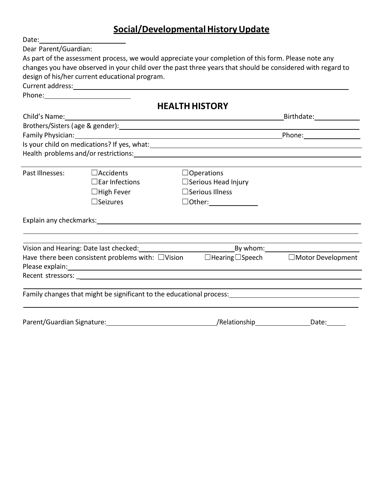## **Social/Developmental History Update**

| Date:                 |                                                |                                                                                                                                                                                                                                 |                 |  |  |  |  |
|-----------------------|------------------------------------------------|---------------------------------------------------------------------------------------------------------------------------------------------------------------------------------------------------------------------------------|-----------------|--|--|--|--|
| Dear Parent/Guardian: |                                                |                                                                                                                                                                                                                                 |                 |  |  |  |  |
|                       |                                                | As part of the assessment process, we would appreciate your completion of this form. Please note any                                                                                                                            |                 |  |  |  |  |
|                       |                                                | changes you have observed in your child over the past three years that should be considered with regard to                                                                                                                      |                 |  |  |  |  |
|                       | design of his/her current educational program. |                                                                                                                                                                                                                                 |                 |  |  |  |  |
|                       |                                                | Current address: example and a series of the series of the series of the series of the series of the series of the series of the series of the series of the series of the series of the series of the series of the series of  |                 |  |  |  |  |
|                       |                                                |                                                                                                                                                                                                                                 |                 |  |  |  |  |
|                       |                                                | <b>HEALTH HISTORY</b>                                                                                                                                                                                                           |                 |  |  |  |  |
|                       |                                                |                                                                                                                                                                                                                                 | Birthdate: 1988 |  |  |  |  |
|                       |                                                | Brothers/Sisters (age & gender): Manual Communication of the Second State of the Second State of the Second St                                                                                                                  |                 |  |  |  |  |
|                       |                                                |                                                                                                                                                                                                                                 |                 |  |  |  |  |
|                       |                                                | Is your child on medications? If yes, what:<br>Subsequent Process Communications on the set of the set of the set of the set of the set of the set of the set of the set of the set of the set of the set of the set of the set |                 |  |  |  |  |
|                       |                                                |                                                                                                                                                                                                                                 |                 |  |  |  |  |
|                       |                                                |                                                                                                                                                                                                                                 |                 |  |  |  |  |
| Past Illnesses:       | $\Box$ Accidents                               | $\Box$ Operations                                                                                                                                                                                                               |                 |  |  |  |  |
|                       | $\square$ Ear Infections                       | $\Box$ Serious Head Injury                                                                                                                                                                                                      |                 |  |  |  |  |
|                       | $\Box$ High Fever                              | $\square$ Serious Illness                                                                                                                                                                                                       |                 |  |  |  |  |
|                       | $\Box$ Seizures                                |                                                                                                                                                                                                                                 |                 |  |  |  |  |
|                       |                                                |                                                                                                                                                                                                                                 |                 |  |  |  |  |
|                       |                                                |                                                                                                                                                                                                                                 |                 |  |  |  |  |
|                       |                                                |                                                                                                                                                                                                                                 |                 |  |  |  |  |
|                       |                                                | Have there been consistent problems with: $\Box$ Vision $\Box$ Hearing $\Box$ Speech $\Box$ Motor Development                                                                                                                   |                 |  |  |  |  |
|                       |                                                |                                                                                                                                                                                                                                 |                 |  |  |  |  |
|                       |                                                |                                                                                                                                                                                                                                 |                 |  |  |  |  |
|                       |                                                | Family changes that might be significant to the educational process: The manuscription of the manuscription of                                                                                                                  |                 |  |  |  |  |
|                       |                                                |                                                                                                                                                                                                                                 |                 |  |  |  |  |
|                       |                                                |                                                                                                                                                                                                                                 | Date:           |  |  |  |  |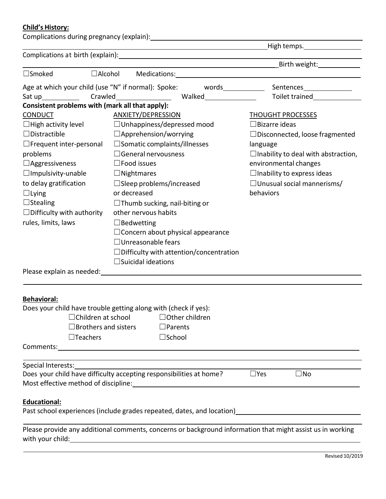### **Child's History:**

|                                                 | Complications during pregnancy (explain): \\effinity \\effinity \\effinity \\effinity \\effinity \\effinity \\effinity \\effinity \\effinity \\effinity \\effinity \\effinity \\effinity \\effinity \\effinity \\effinity \\ef |                                            |  |  |
|-------------------------------------------------|--------------------------------------------------------------------------------------------------------------------------------------------------------------------------------------------------------------------------------|--------------------------------------------|--|--|
|                                                 | <u> 1989 - Johann Stein, fransk politik (d. 1989)</u>                                                                                                                                                                          | $_H$ High temps.                           |  |  |
|                                                 | <u> 1989 - Johann Barnett, fransk politiker (</u>                                                                                                                                                                              |                                            |  |  |
| $\Box$ Smoked                                   |                                                                                                                                                                                                                                |                                            |  |  |
|                                                 | Age at which your child (use "N" if normal): Spoke: words___________                                                                                                                                                           | Sentences_______________                   |  |  |
| Sat up______________                            | Crawled Malked Toilet trained                                                                                                                                                                                                  |                                            |  |  |
| Consistent problems with (mark all that apply): |                                                                                                                                                                                                                                |                                            |  |  |
| <b>CONDUCT</b>                                  | <b>ANXIETY/DEPRESSION</b>                                                                                                                                                                                                      | <b>THOUGHT PROCESSES</b>                   |  |  |
| $\Box$ High activity level                      | $\Box$ Unhappiness/depressed mood                                                                                                                                                                                              | $\Box$ Bizarre ideas                       |  |  |
| $\Box$ Distractible                             | $\Box$ Apprehension/worrying                                                                                                                                                                                                   | $\Box$ Disconnected, loose fragmented      |  |  |
| $\Box$ Frequent inter-personal                  | $\square$ Somatic complaints/illnesses                                                                                                                                                                                         | language                                   |  |  |
| problems                                        | $\Box$ General nervousness                                                                                                                                                                                                     | $\Box$ Inability to deal with abstraction, |  |  |
| $\Box$ Aggressiveness                           | $\square$ Food issues                                                                                                                                                                                                          | environmental changes                      |  |  |
| $\Box$ Impulsivity-unable                       | $\Box$ Nightmares                                                                                                                                                                                                              | $\Box$ Inability to express ideas          |  |  |
| to delay gratification                          | $\Box$ Sleep problems/increased                                                                                                                                                                                                | $\Box$ Unusual social mannerisms/          |  |  |
| $\Box$ Lying                                    | or decreased                                                                                                                                                                                                                   | behaviors                                  |  |  |
| $\Box$ Stealing                                 | $\Box$ Thumb sucking, nail-biting or                                                                                                                                                                                           |                                            |  |  |
| $\Box$ Difficulty with authority                | other nervous habits                                                                                                                                                                                                           |                                            |  |  |
| rules, limits, laws                             | $\Box$ Bedwetting                                                                                                                                                                                                              |                                            |  |  |
|                                                 | $\Box$ Concern about physical appearance                                                                                                                                                                                       |                                            |  |  |
|                                                 | $\Box$ Unreasonable fears                                                                                                                                                                                                      |                                            |  |  |
|                                                 | $\Box$ Difficulty with attention/concentration                                                                                                                                                                                 |                                            |  |  |
|                                                 | $\Box$ Suicidal ideations                                                                                                                                                                                                      |                                            |  |  |
|                                                 |                                                                                                                                                                                                                                |                                            |  |  |
| <b>Behavioral:</b>                              |                                                                                                                                                                                                                                |                                            |  |  |
|                                                 | Does your child have trouble getting along with (check if yes):                                                                                                                                                                |                                            |  |  |
| $\Box$ Children at school                       | $\Box$ Other children                                                                                                                                                                                                          |                                            |  |  |
|                                                 | $\Box$ Brothers and sisters<br>$\Box$ Parents                                                                                                                                                                                  |                                            |  |  |
| $\Box$ Teachers                                 | $\square$ School                                                                                                                                                                                                               |                                            |  |  |
|                                                 |                                                                                                                                                                                                                                |                                            |  |  |
|                                                 | <u> 1989 - Johann Stoff, deutscher Stoffen und der Stoffen und der Stoffen und der Stoffen und der Stoffen und de</u><br>Special Interests:<br>Does your child have difficulty accepting responsibilities at home?             |                                            |  |  |
|                                                 | $\square$ Yes<br>$\square$ No                                                                                                                                                                                                  |                                            |  |  |
|                                                 | Most effective method of discipline: Most and the matter of the matter of the matter of the matter of the matter of                                                                                                            |                                            |  |  |
| <b>Educational:</b>                             |                                                                                                                                                                                                                                |                                            |  |  |
|                                                 | Past school experiences (include grades repeated, dates, and location)<br>Fast school experiences (include grades repeated, dates, and location)<br>Subsettion                                                                 |                                            |  |  |
|                                                 | Please provide any additional comments, concerns or background information that might assist us in working                                                                                                                     |                                            |  |  |

with your child: